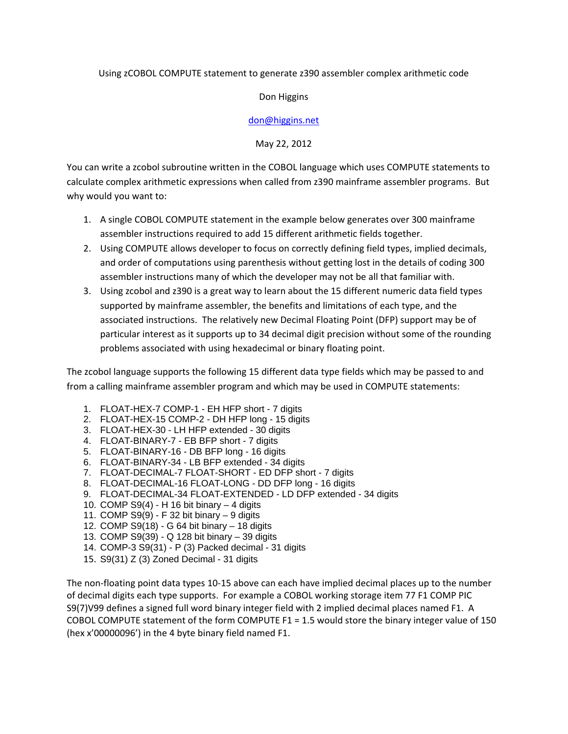# Using zCOBOL COMPUTE statement to generate z390 assembler complex arithmetic code

# Don Higgins

# don@higgins.net

May 22, 2012

You can write a zcobol subroutine written in the COBOL language which uses COMPUTE statements to calculate complex arithmetic expressions when called from z390 mainframe assembler programs. But why would you want to:

- 1. A single COBOL COMPUTE statement in the example below generates over 300 mainframe assembler instructions required to add 15 different arithmetic fields together.
- 2. Using COMPUTE allows developer to focus on correctly defining field types, implied decimals, and order of computations using parenthesis without getting lost in the details of coding 300 assembler instructions many of which the developer may not be all that familiar with.
- 3. Using zcobol and z390 is a great way to learn about the 15 different numeric data field types supported by mainframe assembler, the benefits and limitations of each type, and the associated instructions. The relatively new Decimal Floating Point (DFP) support may be of particular interest as it supports up to 34 decimal digit precision without some of the rounding problems associated with using hexadecimal or binary floating point.

The zcobol language supports the following 15 different data type fields which may be passed to and from a calling mainframe assembler program and which may be used in COMPUTE statements:

- 1. FLOAT-HEX-7 COMP-1 EH HFP short 7 digits
- 2. FLOAT-HEX-15 COMP-2 DH HFP long 15 digits
- 3. FLOAT-HEX-30 LH HFP extended 30 digits
- 4. FLOAT-BINARY-7 EB BFP short 7 digits
- 5. FLOAT-BINARY-16 DB BFP long 16 digits
- 6. FLOAT-BINARY-34 LB BFP extended 34 digits
- 7. FLOAT-DECIMAL-7 FLOAT-SHORT ED DFP short 7 digits
- 8. FLOAT-DECIMAL-16 FLOAT-LONG DD DFP long 16 digits
- 9. FLOAT-DECIMAL-34 FLOAT-EXTENDED LD DFP extended 34 digits
- 10. COMP S9(4) H 16 bit binary 4 digits
- 11. COMP S9(9) F 32 bit binary 9 digits
- 12. COMP S9(18) G 64 bit binary 18 digits
- 13. COMP S9(39) Q 128 bit binary 39 digits
- 14. COMP-3 S9(31) P (3) Packed decimal 31 digits
- 15. S9(31) Z (3) Zoned Decimal 31 digits

The non‐floating point data types 10‐15 above can each have implied decimal places up to the number of decimal digits each type supports. For example a COBOL working storage item 77 F1 COMP PIC S9(7)V99 defines a signed full word binary integer field with 2 implied decimal places named F1. A COBOL COMPUTE statement of the form COMPUTE F1 = 1.5 would store the binary integer value of 150 (hex x'00000096') in the 4 byte binary field named F1.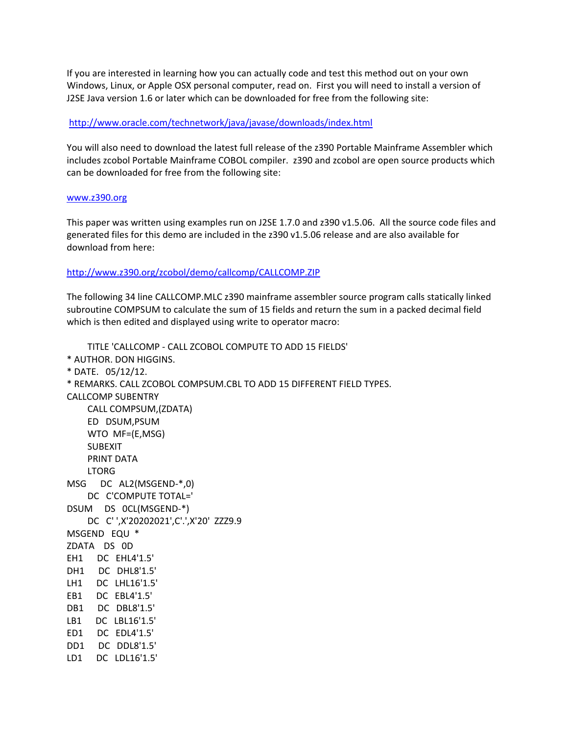If you are interested in learning how you can actually code and test this method out on your own Windows, Linux, or Apple OSX personal computer, read on. First you will need to install a version of J2SE Java version 1.6 or later which can be downloaded for free from the following site:

### http://www.oracle.com/technetwork/java/javase/downloads/index.html

You will also need to download the latest full release of the z390 Portable Mainframe Assembler which includes zcobol Portable Mainframe COBOL compiler. z390 and zcobol are open source products which can be downloaded for free from the following site:

#### www.z390.org

This paper was written using examples run on J2SE 1.7.0 and z390 v1.5.06. All the source code files and generated files for this demo are included in the z390 v1.5.06 release and are also available for download from here:

http://www.z390.org/zcobol/demo/callcomp/CALLCOMP.ZIP

The following 34 line CALLCOMP.MLC z390 mainframe assembler source program calls statically linked subroutine COMPSUM to calculate the sum of 15 fields and return the sum in a packed decimal field which is then edited and displayed using write to operator macro:

```
         TITLE 'CALLCOMP ‐ CALL ZCOBOL COMPUTE TO ADD 15 FIELDS'
* AUTHOR. DON HIGGINS.
* DATE.   05/12/12.
* REMARKS. CALL ZCOBOL COMPSUM.CBL TO ADD 15 DIFFERENT FIELD TYPES.
CALLCOMP SUBENTRY
              CALL COMPSUM,(ZDATA)
              ED   DSUM,PSUM
              WTO  MF=(E,MSG)
              SUBEXIT
              PRINT DATA
              LTORG     
MSG      DC   AL2(MSGEND‐*,0)
              DC   C'COMPUTE TOTAL='
DSUM DS        0CL(MSGEND-*)
              DC   C' ',X'20202021',C'.',X'20'  ZZZ9.9
MSGEND   EQU  *
ZDATA    DS   0D   
EH1      DC   EHL4'1.5'
DH1      DC   DHL8'1.5'
LH1      DC   LHL16'1.5'
EB1      DC   EBL4'1.5'
DB1      DC   DBL8'1.5'
LB1      DC   LBL16'1.5'
ED1      DC   EDL4'1.5'
DD1      DC   DDL8'1.5'
LD1      DC   LDL16'1.5'
```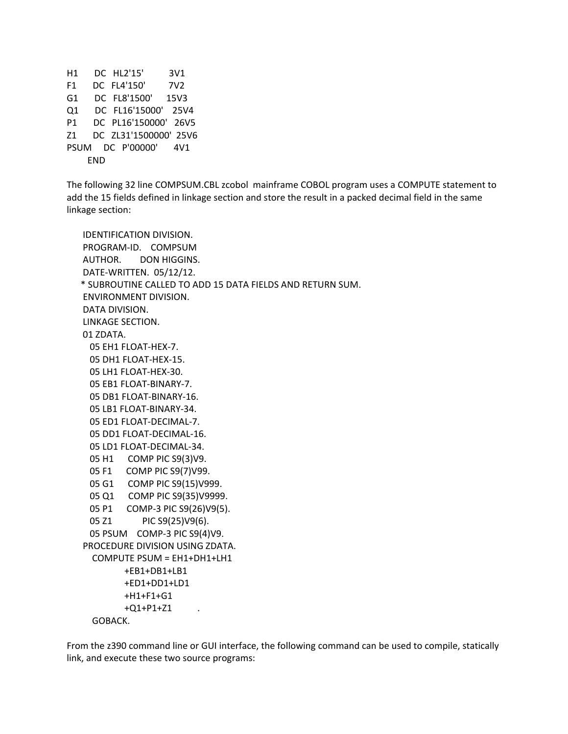H1 DC HL2'15' 3V1 F1 DC FL4'150' 7V2 G1 DC FL8'1500' 15V3 Q1 DC FL16'15000' 25V4 P1 DC PL16'150000' 26V5 Z1 DC ZL31'1500000' 25V6 PSUM DC P'00000' 4V1 **FND** 

The following 32 line COMPSUM.CBL zcobol mainframe COBOL program uses a COMPUTE statement to add the 15 fields defined in linkage section and store the result in a packed decimal field in the same linkage section:

 IDENTIFICATION DIVISION. PROGRAM‐ID. COMPSUM AUTHOR. DON HIGGINS. DATE‐WRITTEN. 05/12/12. \* SUBROUTINE CALLED TO ADD 15 DATA FIELDS AND RETURN SUM. ENVIRONMENT DIVISION. DATA DIVISION. LINKAGE SECTION. 01 ZDATA. 05 EH1 FLOAT‐HEX‐7. 05 DH1 FLOAT‐HEX‐15. 05 LH1 FLOAT‐HEX‐30. 05 EB1 FLOAT‐BINARY‐7. 05 DB1 FLOAT‐BINARY‐16. 05 LB1 FLOAT‐BINARY‐34. 05 ED1 FLOAT‐DECIMAL‐7. 05 DD1 FLOAT‐DECIMAL‐16. 05 LD1 FLOAT‐DECIMAL‐34. 05 H1 COMP PIC S9(3)V9. 05 F1 COMP PIC S9(7)V99. 05 G1 COMP PIC S9(15)V999. 05 Q1 COMP PIC S9(35)V9999. 05 P1 COMP‐3 PIC S9(26)V9(5). 05 Z1 PIC S9(25)V9(6). 05 PSUM COMP‐3 PIC S9(4)V9. PROCEDURE DIVISION USING ZDATA. COMPUTE PSUM = EH1+DH1+LH1 +EB1+DB1+LB1 +ED1+DD1+LD1 +H1+F1+G1  $+Q1+P1+Z1$  . GOBACK.

From the z390 command line or GUI interface, the following command can be used to compile, statically link, and execute these two source programs: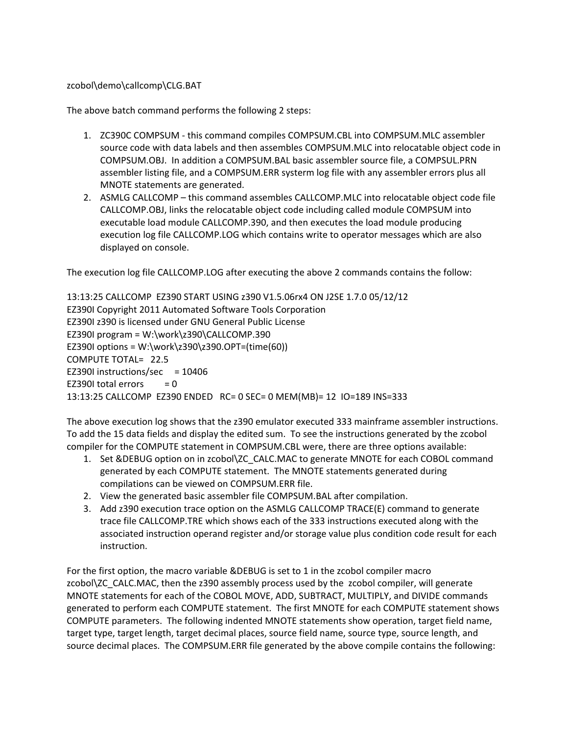# zcobol\demo\callcomp\CLG.BAT

The above batch command performs the following 2 steps:

- 1. ZC390C COMPSUM ‐ this command compiles COMPSUM.CBL into COMPSUM.MLC assembler source code with data labels and then assembles COMPSUM.MLC into relocatable object code in COMPSUM.OBJ. In addition a COMPSUM.BAL basic assembler source file, a COMPSUL.PRN assembler listing file, and a COMPSUM.ERR systerm log file with any assembler errors plus all MNOTE statements are generated.
- 2. ASMLG CALLCOMP this command assembles CALLCOMP.MLC into relocatable object code file CALLCOMP.OBJ, links the relocatable object code including called module COMPSUM into executable load module CALLCOMP.390, and then executes the load module producing execution log file CALLCOMP.LOG which contains write to operator messages which are also displayed on console.

The execution log file CALLCOMP.LOG after executing the above 2 commands contains the follow:

13:13:25 CALLCOMP EZ390 START USING z390 V1.5.06rx4 ON J2SE 1.7.0 05/12/12 EZ390I Copyright 2011 Automated Software Tools Corporation EZ390I z390 is licensed under GNU General Public License EZ390I program =  $W:\w0$ rk $z390\$ CALLCOMP.390 EZ390I options = W:\work\z390\z390.OPT=(time(60)) COMPUTE TOTAL= 22.5 EZ390I instructions/sec  $= 10406$ EZ390I total errors  $= 0$ 13:13:25 CALLCOMP EZ390 ENDED RC= 0 SEC= 0 MEM(MB)= 12 IO=189 INS=333

The above execution log shows that the z390 emulator executed 333 mainframe assembler instructions. To add the 15 data fields and display the edited sum. To see the instructions generated by the zcobol compiler for the COMPUTE statement in COMPSUM.CBL were, there are three options available:

- 1. Set &DEBUG option on in zcobol\ZC\_CALC.MAC to generate MNOTE for each COBOL command generated by each COMPUTE statement. The MNOTE statements generated during compilations can be viewed on COMPSUM.ERR file.
- 2. View the generated basic assembler file COMPSUM.BAL after compilation.
- 3. Add z390 execution trace option on the ASMLG CALLCOMP TRACE(E) command to generate trace file CALLCOMP.TRE which shows each of the 333 instructions executed along with the associated instruction operand register and/or storage value plus condition code result for each instruction.

For the first option, the macro variable &DEBUG is set to 1 in the zcobol compiler macro zcobol\ZC\_CALC.MAC, then the z390 assembly process used by the zcobol compiler, will generate MNOTE statements for each of the COBOL MOVE, ADD, SUBTRACT, MULTIPLY, and DIVIDE commands generated to perform each COMPUTE statement. The first MNOTE for each COMPUTE statement shows COMPUTE parameters. The following indented MNOTE statements show operation, target field name, target type, target length, target decimal places, source field name, source type, source length, and source decimal places. The COMPSUM.ERR file generated by the above compile contains the following: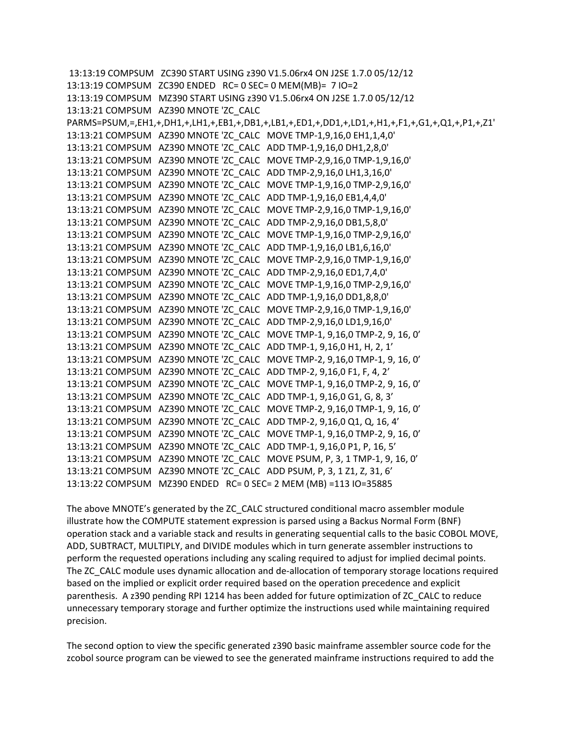13:13:19 COMPSUM ZC390 START USING z390 V1.5.06rx4 ON J2SE 1.7.0 05/12/12 13:13:19 COMPSUM ZC390 ENDED RC= 0 SEC= 0 MEM(MB)= 7 IO=2 13:13:19 COMPSUM MZ390 START USING z390 V1.5.06rx4 ON J2SE 1.7.0 05/12/12 13:13:21 COMPSUM AZ390 MNOTE 'ZC\_CALC PARMS=PSUM,=,EH1,+,DH1,+,LH1,+,EB1,+,DB1,+,LB1,+,ED1,+,DD1,+,LD1,+,H1,+,F1,+,G1,+,Q1,+,P1,+,Z1' 13:13:21 COMPSUM AZ390 MNOTE 'ZC\_CALC MOVE TMP‐1,9,16,0 EH1,1,4,0' 13:13:21 COMPSUM AZ390 MNOTE 'ZC\_CALC ADD TMP‐1,9,16,0 DH1,2,8,0' 13:13:21 COMPSUM AZ390 MNOTE 'ZC\_CALC MOVE TMP‐2,9,16,0 TMP‐1,9,16,0' 13:13:21 COMPSUM AZ390 MNOTE 'ZC\_CALC ADD TMP‐2,9,16,0 LH1,3,16,0' 13:13:21 COMPSUM AZ390 MNOTE 'ZC\_CALC MOVE TMP‐1,9,16,0 TMP‐2,9,16,0' 13:13:21 COMPSUM AZ390 MNOTE 'ZC\_CALC ADD TMP‐1,9,16,0 EB1,4,4,0' 13:13:21 COMPSUM AZ390 MNOTE 'ZC\_CALC MOVE TMP‐2,9,16,0 TMP‐1,9,16,0' 13:13:21 COMPSUM AZ390 MNOTE 'ZC\_CALC ADD TMP‐2,9,16,0 DB1,5,8,0' 13:13:21 COMPSUM AZ390 MNOTE 'ZC\_CALC MOVE TMP‐1,9,16,0 TMP‐2,9,16,0' 13:13:21 COMPSUM AZ390 MNOTE 'ZC\_CALC ADD TMP‐1,9,16,0 LB1,6,16,0' 13:13:21 COMPSUM AZ390 MNOTE 'ZC\_CALC MOVE TMP‐2,9,16,0 TMP‐1,9,16,0' 13:13:21 COMPSUM AZ390 MNOTE 'ZC\_CALC ADD TMP‐2,9,16,0 ED1,7,4,0' 13:13:21 COMPSUM AZ390 MNOTE 'ZC\_CALC MOVE TMP‐1,9,16,0 TMP‐2,9,16,0' 13:13:21 COMPSUM AZ390 MNOTE 'ZC\_CALC ADD TMP‐1,9,16,0 DD1,8,8,0' 13:13:21 COMPSUM AZ390 MNOTE 'ZC\_CALC MOVE TMP‐2,9,16,0 TMP‐1,9,16,0' 13:13:21 COMPSUM AZ390 MNOTE 'ZC\_CALC ADD TMP‐2,9,16,0 LD1,9,16,0' 13:13:21 COMPSUM AZ390 MNOTE 'ZC\_CALC MOVE TMP‐1, 9,16,0 TMP‐2, 9, 16, 0' 13:13:21 COMPSUM AZ390 MNOTE 'ZC\_CALC ADD TMP‐1, 9,16,0 H1, H, 2, 1' 13:13:21 COMPSUM AZ390 MNOTE 'ZC\_CALC MOVE TMP‐2, 9,16,0 TMP‐1, 9, 16, 0' 13:13:21 COMPSUM AZ390 MNOTE 'ZC\_CALC ADD TMP‐2, 9,16,0 F1, F, 4, 2' 13:13:21 COMPSUM AZ390 MNOTE 'ZC\_CALC MOVE TMP‐1, 9,16,0 TMP‐2, 9, 16, 0' 13:13:21 COMPSUM AZ390 MNOTE 'ZC\_CALC ADD TMP‐1, 9,16,0 G1, G, 8, 3' 13:13:21 COMPSUM AZ390 MNOTE 'ZC\_CALC MOVE TMP‐2, 9,16,0 TMP‐1, 9, 16, 0' 13:13:21 COMPSUM AZ390 MNOTE 'ZC\_CALC ADD TMP‐2, 9,16,0 Q1, Q, 16, 4' 13:13:21 COMPSUM AZ390 MNOTE 'ZC\_CALC MOVE TMP‐1, 9,16,0 TMP‐2, 9, 16, 0' 13:13:21 COMPSUM AZ390 MNOTE 'ZC\_CALC ADD TMP‐1, 9,16,0 P1, P, 16, 5' 13:13:21 COMPSUM AZ390 MNOTE 'ZC\_CALC MOVE PSUM, P, 3, 1 TMP‐1, 9, 16, 0' 13:13:21 COMPSUM AZ390 MNOTE 'ZC\_CALC ADD PSUM, P, 3, 1 Z1, Z, 31, 6' 13:13:22 COMPSUM MZ390 ENDED RC= 0 SEC= 2 MEM (MB) =113 IO=35885

The above MNOTE's generated by the ZC\_CALC structured conditional macro assembler module illustrate how the COMPUTE statement expression is parsed using a Backus Normal Form (BNF) operation stack and a variable stack and results in generating sequential calls to the basic COBOL MOVE, ADD, SUBTRACT, MULTIPLY, and DIVIDE modules which in turn generate assembler instructions to perform the requested operations including any scaling required to adjust for implied decimal points. The ZC\_CALC module uses dynamic allocation and de‐allocation of temporary storage locations required based on the implied or explicit order required based on the operation precedence and explicit parenthesis. A z390 pending RPI 1214 has been added for future optimization of ZC\_CALC to reduce unnecessary temporary storage and further optimize the instructions used while maintaining required precision.

The second option to view the specific generated z390 basic mainframe assembler source code for the zcobol source program can be viewed to see the generated mainframe instructions required to add the